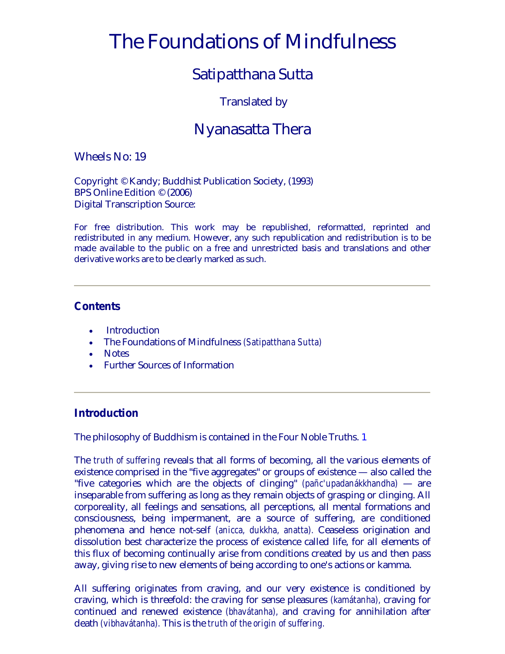# <span id="page-0-0"></span>The Foundations of Mindfulness

# Satipatthana Sutta

# Translated by

# Nyanasatta Thera

Wheels No: 19

Copyright © Kandy; Buddhist Publication Society, (1993) BPS Online Edition © (2006) Digital Transcription Source:

For free distribution. This work may be republished, reformatted, reprinted and redistributed in any medium. However, any such republication and redistribution is to be made available to the public on a free and unrestricted basis and translations and other derivative works are to be clearly marked as such.

# **Contents**

- • [Introduction](#page-0-0)
- [The Foundations of Mindfulness](#page-5-0) *(Satipatthana Sutta)*
- [Notes](#page-15-0)
- [Further Sources of Information](#page-17-0)

# **Introduction**

The philosophy of Buddhism is contained in the Four Noble Truths. [1](#page-5-0)

The *truth of suffering* reveals that all forms of becoming, all the various elements of existence comprised in the "five aggregates" or groups of existence — also called the "five categories which are the objects of clinging" *(pañc'upadanákkhandha)* — are inseparable from suffering as long as they remain objects of grasping or clinging. All corporeality, all feelings and sensations, all perceptions, all mental formations and consciousness, being impermanent, are a source of suffering, are conditioned phenomena and hence not-self *(anicca, dukkha, anatta).* Ceaseless origination and dissolution best characterize the process of existence called life, for all elements of this flux of becoming continually arise from conditions created by us and then pass away, giving rise to new elements of being according to one's actions or kamma.

All suffering originates from craving, and our very existence is conditioned by craving, which is threefold: the craving for sense pleasures *(kamátanha),* craving for continued and renewed existence *(bhavátanha),* and craving for annihilation after death *(vibhavátanha).* This is the *truth of the origin of suffering.*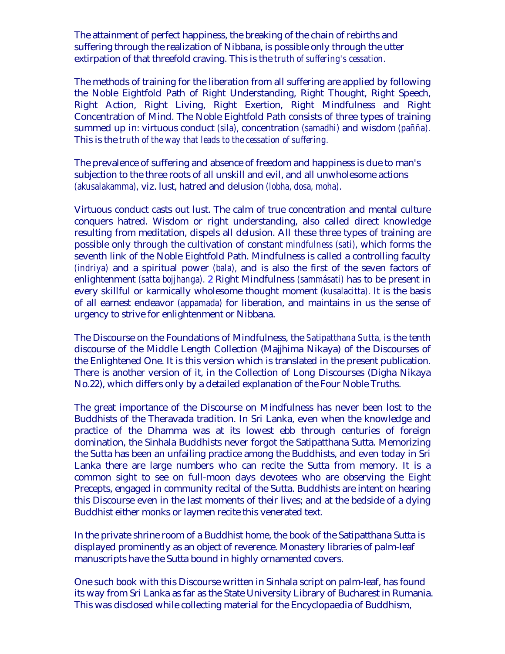The attainment of perfect happiness, the breaking of the chain of rebirths and suffering through the realization of Nibbana, is possible only through the utter extirpation of that threefold craving. This is the *truth of suffering's cessation.*

The methods of training for the liberation from all suffering are applied by following the Noble Eightfold Path of Right Understanding, Right Thought, Right Speech, Right Action, Right Living, Right Exertion, Right Mindfulness and Right Concentration of Mind. The Noble Eightfold Path consists of three types of training summed up in: virtuous conduct *(sila),* concentration *(samadhi)* and wisdom *(pañña).* This is the *truth of the way that leads to the cessation of suffering.*

The prevalence of suffering and absence of freedom and happiness is due to man's subjection to the three roots of all unskill and evil, and all unwholesome actions *(akusalakamma),* viz. lust, hatred and delusion *(lobha, dosa, moha).*

Virtuous conduct casts out lust. The calm of true concentration and mental culture conquers hatred. Wisdom or right understanding, also called direct knowledge resulting from meditation, dispels all delusion. All these three types of training are possible only through the cultivation of constant *mindfulness (sati),* which forms the seventh link of the Noble Eightfold Path. Mindfulness is called a controlling faculty *(indriya)* and a spiritual power *(bala),* and is also the first of the seven factors of enlightenment *(satta bojjhanga).* [2](#page-5-0) Right Mindfulness *(sammásati)* has to be present in every skillful or karmically wholesome thought moment *(kusalacitta).* It is the basis of all earnest endeavor *(appamada)* for liberation, and maintains in us the sense of urgency to strive for enlightenment or Nibbana.

The Discourse on the Foundations of Mindfulness, the *Satipatthana Sutta,* is the tenth discourse of the Middle Length Collection (Majjhima Nikaya) of the Discourses of the Enlightened One. It is this version which is translated in the present publication. There is another version of it, in the Collection of Long Discourses (Digha Nikaya No.22), which differs only by a detailed explanation of the Four Noble Truths.

The great importance of the Discourse on Mindfulness has never been lost to the Buddhists of the Theravada tradition. In Sri Lanka, even when the knowledge and practice of the Dhamma was at its lowest ebb through centuries of foreign domination, the Sinhala Buddhists never forgot the Satipatthana Sutta. Memorizing the Sutta has been an unfailing practice among the Buddhists, and even today in Sri Lanka there are large numbers who can recite the Sutta from memory. It is a common sight to see on full-moon days devotees who are observing the Eight Precepts, engaged in community recital of the Sutta. Buddhists are intent on hearing this Discourse even in the last moments of their lives; and at the bedside of a dying Buddhist either monks or laymen recite this venerated text.

In the private shrine room of a Buddhist home, the book of the Satipatthana Sutta is displayed prominently as an object of reverence. Monastery libraries of palm-leaf manuscripts have the Sutta bound in highly ornamented covers.

One such book with this Discourse written in Sinhala script on palm-leaf, has found its way from Sri Lanka as far as the State University Library of Bucharest in Rumania. This was disclosed while collecting material for the Encyclopaedia of Buddhism,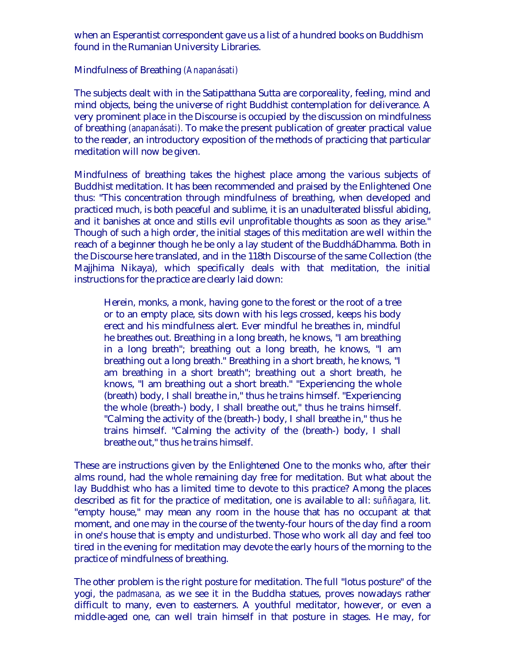when an Esperantist correspondent gave us a list of a hundred books on Buddhism found in the Rumanian University Libraries.

#### Mindfulness of Breathing *(Anapanásati)*

The subjects dealt with in the Satipatthana Sutta are corporeality, feeling, mind and mind objects, being the universe of right Buddhist contemplation for deliverance. A very prominent place in the Discourse is occupied by the discussion on mindfulness of breathing *(anapanásati).* To make the present publication of greater practical value to the reader, an introductory exposition of the methods of practicing that particular meditation will now be given.

Mindfulness of breathing takes the highest place among the various subjects of Buddhist meditation. It has been recommended and praised by the Enlightened One thus: "This concentration through mindfulness of breathing, when developed and practiced much, is both peaceful and sublime, it is an unadulterated blissful abiding, and it banishes at once and stills evil unprofitable thoughts as soon as they arise." Though of such a high order, the initial stages of this meditation are well within the reach of a beginner though he be only a lay student of the BuddháDhamma. Both in the Discourse here translated, and in the 118th Discourse of the same Collection (the Majjhima Nikaya), which specifically deals with that meditation, the initial instructions for the practice are clearly laid down:

Herein, monks, a monk, having gone to the forest or the root of a tree or to an empty place, sits down with his legs crossed, keeps his body erect and his mindfulness alert. Ever mindful he breathes in, mindful he breathes out. Breathing in a long breath, he knows, "I am breathing in a long breath"; breathing out a long breath, he knows, "I am breathing out a long breath." Breathing in a short breath, he knows, "I am breathing in a short breath"; breathing out a short breath, he knows, "I am breathing out a short breath." "Experiencing the whole (breath) body, I shall breathe in," thus he trains himself. "Experiencing the whole (breath-) body, I shall breathe out," thus he trains himself. "Calming the activity of the (breath-) body, I shall breathe in," thus he trains himself. "Calming the activity of the (breath-) body, I shall breathe out," thus he trains himself.

These are instructions given by the Enlightened One to the monks who, after their alms round, had the whole remaining day free for meditation. But what about the lay Buddhist who has a limited time to devote to this practice? Among the places described as fit for the practice of meditation, one is available to all: *suññagara,* lit. "empty house," may mean any room in the house that has no occupant at that moment, and one may in the course of the twenty-four hours of the day find a room in one's house that is empty and undisturbed. Those who work all day and feel too tired in the evening for meditation may devote the early hours of the morning to the practice of mindfulness of breathing.

The other problem is the right posture for meditation. The full "lotus posture" of the yogi, the *padmasana,* as we see it in the Buddha statues, proves nowadays rather difficult to many, even to easterners. A youthful meditator, however, or even a middle-aged one, can well train himself in that posture in stages. He may, for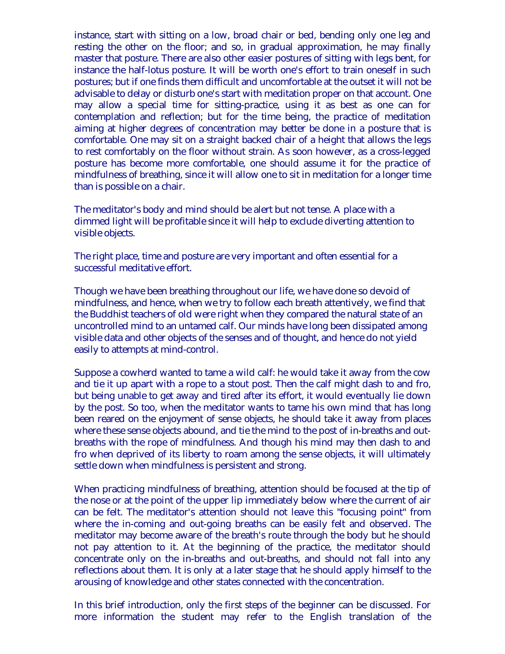instance, start with sitting on a low, broad chair or bed, bending only one leg and resting the other on the floor; and so, in gradual approximation, he may finally master that posture. There are also other easier postures of sitting with legs bent, for instance the half-lotus posture. It will be worth one's effort to train oneself in such postures; but if one finds them difficult and uncomfortable at the outset it will not be advisable to delay or disturb one's start with meditation proper on that account. One may allow a special time for sitting-practice, using it as best as one can for contemplation and reflection; but for the time being, the practice of meditation aiming at higher degrees of concentration may better be done in a posture that is comfortable. One may sit on a straight backed chair of a height that allows the legs to rest comfortably on the floor without strain. As soon however, as a cross-legged posture has become more comfortable, one should assume it for the practice of mindfulness of breathing, since it will allow one to sit in meditation for a longer time than is possible on a chair.

The meditator's body and mind should be alert but not tense. A place with a dimmed light will be profitable since it will help to exclude diverting attention to visible objects.

The right place, time and posture are very important and often essential for a successful meditative effort.

Though we have been breathing throughout our life, we have done so devoid of mindfulness, and hence, when we try to follow each breath attentively, we find that the Buddhist teachers of old were right when they compared the natural state of an uncontrolled mind to an untamed calf. Our minds have long been dissipated among visible data and other objects of the senses and of thought, and hence do not yield easily to attempts at mind-control.

Suppose a cowherd wanted to tame a wild calf: he would take it away from the cow and tie it up apart with a rope to a stout post. Then the calf might dash to and fro, but being unable to get away and tired after its effort, it would eventually lie down by the post. So too, when the meditator wants to tame his own mind that has long been reared on the enjoyment of sense objects, he should take it away from places where these sense objects abound, and tie the mind to the post of in-breaths and outbreaths with the rope of mindfulness. And though his mind may then dash to and fro when deprived of its liberty to roam among the sense objects, it will ultimately settle down when mindfulness is persistent and strong.

When practicing mindfulness of breathing, attention should be focused at the tip of the nose or at the point of the upper lip immediately below where the current of air can be felt. The meditator's attention should not leave this "focusing point" from where the in-coming and out-going breaths can be easily felt and observed. The meditator may become aware of the breath's route through the body but he should not pay attention to it. At the beginning of the practice, the meditator should concentrate only on the in-breaths and out-breaths, and should not fall into any reflections about them. It is only at a later stage that he should apply himself to the arousing of knowledge and other states connected with the concentration.

In this brief introduction, only the first steps of the beginner can be discussed. For more information the student may refer to the English translation of the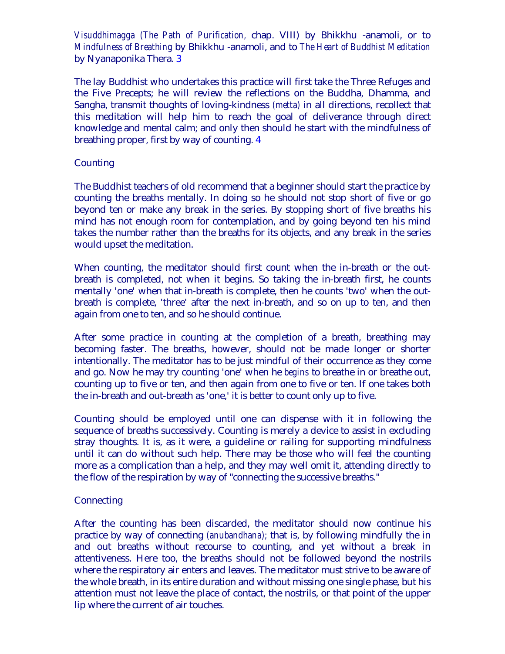*Visuddhimagga (The Path of Purification,* chap. VIII) by Bhikkhu -anamoli, or to *Mindfulness of Breathing* by Bhikkhu -anamoli, and to *The Heart of Buddhist Meditation*  by Nyanaponika Thera. [3](#page-5-0)

The lay Buddhist who undertakes this practice will first take the Three Refuges and the Five Precepts; he will review the reflections on the Buddha, Dhamma, and Sangha, transmit thoughts of loving-kindness *(metta)* in all directions, recollect that this meditation will help him to reach the goal of deliverance through direct knowledge and mental calm; and only then should he start with the mindfulness of breathing proper, first by way of counting. [4](#page-5-0)

#### **Counting**

The Buddhist teachers of old recommend that a beginner should start the practice by counting the breaths mentally. In doing so he should not stop short of five or go beyond ten or make any break in the series. By stopping short of five breaths his mind has not enough room for contemplation, and by going beyond ten his mind takes the number rather than the breaths for its objects, and any break in the series would upset the meditation.

When counting, the meditator should first count when the in-breath or the outbreath is completed, not when it begins. So taking the in-breath first, he counts mentally 'one' when that in-breath is complete, then he counts 'two' when the outbreath is complete, 'three' after the next in-breath, and so on up to ten, and then again from one to ten, and so he should continue.

After some practice in counting at the completion of a breath, breathing may becoming faster. The breaths, however, should not be made longer or shorter intentionally. The meditator has to be just mindful of their occurrence as they come and go. Now he may try counting 'one' when he *begins* to breathe in or breathe out, counting up to five or ten, and then again from one to five or ten. If one takes both the in-breath and out-breath as 'one,' it is better to count only up to five.

Counting should be employed until one can dispense with it in following the sequence of breaths successively. Counting is merely a device to assist in excluding stray thoughts. It is, as it were, a guideline or railing for supporting mindfulness until it can do without such help. There may be those who will feel the counting more as a complication than a help, and they may well omit it, attending directly to the flow of the respiration by way of "connecting the successive breaths."

#### **Connecting**

After the counting has been discarded, the meditator should now continue his practice by way of connecting *(anubandhana);* that is, by following mindfully the in and out breaths without recourse to counting, and yet without a break in attentiveness. Here too, the breaths should not be followed beyond the nostrils where the respiratory air enters and leaves. The meditator must strive to be aware of the whole breath, in its entire duration and without missing one single phase, but his attention must not leave the place of contact, the nostrils, or that point of the upper lip where the current of air touches.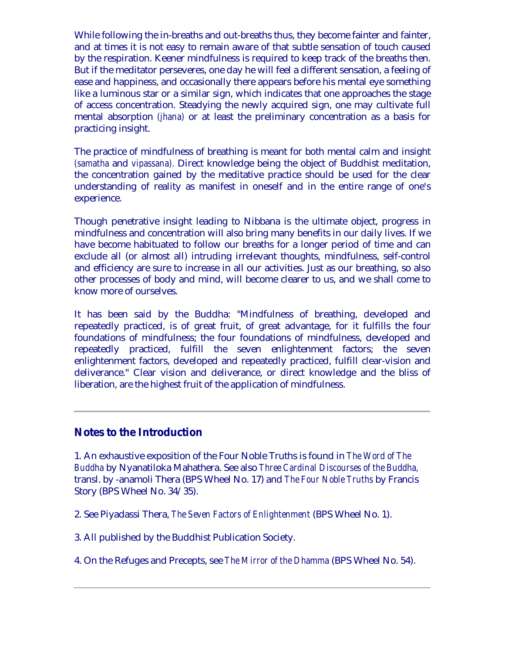<span id="page-5-0"></span>While following the in-breaths and out-breaths thus, they become fainter and fainter, and at times it is not easy to remain aware of that subtle sensation of touch caused by the respiration. Keener mindfulness is required to keep track of the breaths then. But if the meditator perseveres, one day he will feel a different sensation, a feeling of ease and happiness, and occasionally there appears before his mental eye something like a luminous star or a similar sign, which indicates that one approaches the stage of access concentration. Steadying the newly acquired sign, one may cultivate full mental absorption *(jhana)* or at least the preliminary concentration as a basis for practicing insight.

The practice of mindfulness of breathing is meant for both mental calm and insight *(samatha* and *vipassana).* Direct knowledge being the object of Buddhist meditation, the concentration gained by the meditative practice should be used for the clear understanding of reality as manifest in oneself and in the entire range of one's experience.

Though penetrative insight leading to Nibbana is the ultimate object, progress in mindfulness and concentration will also bring many benefits in our daily lives. If we have become habituated to follow our breaths for a longer period of time and can exclude all (or almost all) intruding irrelevant thoughts, mindfulness, self-control and efficiency are sure to increase in all our activities. Just as our breathing, so also other processes of body and mind, will become clearer to us, and we shall come to know more of ourselves.

It has been said by the Buddha: "Mindfulness of breathing, developed and repeatedly practiced, is of great fruit, of great advantage, for it fulfills the four foundations of mindfulness; the four foundations of mindfulness, developed and repeatedly practiced, fulfill the seven enlightenment factors; the seven enlightenment factors, developed and repeatedly practiced, fulfill clear-vision and deliverance." Clear vision and deliverance, or direct knowledge and the bliss of liberation, are the highest fruit of the application of mindfulness.

#### **Notes to the Introduction**

1. An exhaustive exposition of the Four Noble Truths is found in *The Word of The Buddha* by Nyanatiloka Mahathera. See also *Three Cardinal Discourses of the Buddha,*  transl. by -anamoli Thera (BPS Wheel No. 17) and *The Four Noble Truths* by Francis Story (BPS Wheel No. 34/35).

2. See Piyadassi Thera, *The Seven Factors of Enlightenment* (BPS Wheel No. 1).

3. All published by the Buddhist Publication Society.

4. On the Refuges and Precepts, see *The Mirror of the Dhamma* (BPS Wheel No. 54).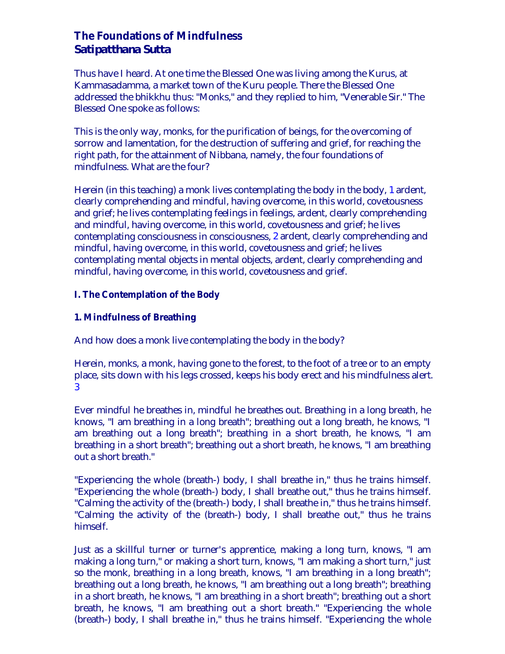# <span id="page-6-0"></span>**The Foundations of Mindfulness** *Satipatthana Sutta*

Thus have I heard. At one time the Blessed One was living among the Kurus, at Kammasadamma, a market town of the Kuru people. There the Blessed One addressed the bhikkhu thus: "Monks," and they replied to him, "Venerable Sir." The Blessed One spoke as follows:

This is the only way, monks, for the purification of beings, for the overcoming of sorrow and lamentation, for the destruction of suffering and grief, for reaching the right path, for the attainment of Nibbana, namely, the four foundations of mindfulness. What are the four?

Herein (in this teaching) a monk lives contemplating the body in the body, [1](#page-15-0) ardent, clearly comprehending and mindful, having overcome, in this world, covetousness and grief; he lives contemplating feelings in feelings, ardent, clearly comprehending and mindful, having overcome, in this world, covetousness and grief; he lives contemplating consciousness in consciousness, [2 a](#page-15-0)rdent, clearly comprehending and mindful, having overcome, in this world, covetousness and grief; he lives contemplating mental objects in mental objects, ardent, clearly comprehending and mindful, having overcome, in this world, covetousness and grief.

#### **I. The Contemplation of the Body**

#### **1. Mindfulness of Breathing**

And how does a monk live contemplating the body in the body?

Herein, monks, a monk, having gone to the forest, to the foot of a tree or to an empty place, sits down with his legs crossed, keeps his body erect and his mindfulness alert. [3](#page-15-0)

Ever mindful he breathes in, mindful he breathes out. Breathing in a long breath, he knows, "I am breathing in a long breath"; breathing out a long breath, he knows, "I am breathing out a long breath"; breathing in a short breath, he knows, "I am breathing in a short breath"; breathing out a short breath, he knows, "I am breathing out a short breath."

"Experiencing the whole (breath-) body, I shall breathe in," thus he trains himself. "Experiencing the whole (breath-) body, I shall breathe out," thus he trains himself. "Calming the activity of the (breath-) body, I shall breathe in," thus he trains himself. "Calming the activity of the (breath-) body, I shall breathe out," thus he trains himself.

Just as a skillful turner or turner's apprentice, making a long turn, knows, "I am making a long turn," or making a short turn, knows, "I am making a short turn," just so the monk, breathing in a long breath, knows, "I am breathing in a long breath"; breathing out a long breath, he knows, "I am breathing out a long breath"; breathing in a short breath, he knows, "I am breathing in a short breath"; breathing out a short breath, he knows, "I am breathing out a short breath." "Experiencing the whole (breath-) body, I shall breathe in," thus he trains himself. "Experiencing the whole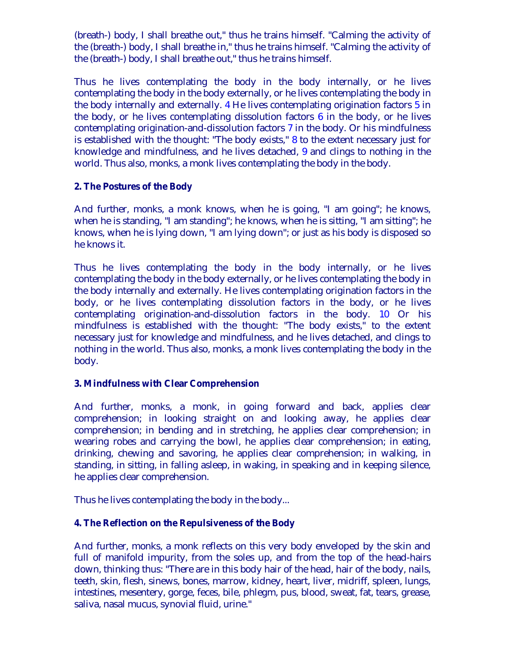<span id="page-7-0"></span>(breath-) body, I shall breathe out," thus he trains himself. "Calming the activity of the (breath-) body, I shall breathe in," thus he trains himself. "Calming the activity of the (breath-) body, I shall breathe out," thus he trains himself.

Thus he lives contemplating the body in the body internally, or he lives contemplating the body in the body externally, or he lives contemplating the body in the body internally and externally. [4](#page-15-0) He lives contemplating origination factors [5](#page-15-0) in the body, or he lives contemplating dissolution factors [6](#page-15-0) in the body, or he lives contemplating origination-and-dissolution factors [7](#page-16-0) in the body. Or his mindfulness is established with the thought: "The body exists," [8](#page-16-0) to the extent necessary just for knowledge and mindfulness, and he lives detached, [9](#page-16-0) and clings to nothing in the world. Thus also, monks, a monk lives contemplating the body in the body.

#### **2. The Postures of the Body**

And further, monks, a monk knows, when he is going, "I am going"; he knows, when he is standing, "I am standing"; he knows, when he is sitting, "I am sitting"; he knows, when he is lying down, "I am lying down"; or just as his body is disposed so he knows it.

Thus he lives contemplating the body in the body internally, or he lives contemplating the body in the body externally, or he lives contemplating the body in the body internally and externally. He lives contemplating origination factors in the body, or he lives contemplating dissolution factors in the body, or he lives contemplating origination-and-dissolution factors in the body. [10](#page-16-0) Or his mindfulness is established with the thought: "The body exists," to the extent necessary just for knowledge and mindfulness, and he lives detached, and clings to nothing in the world. Thus also, monks, a monk lives contemplating the body in the body.

#### **3. Mindfulness with Clear Comprehension**

And further, monks, a monk, in going forward and back, applies clear comprehension; in looking straight on and looking away, he applies clear comprehension; in bending and in stretching, he applies clear comprehension; in wearing robes and carrying the bowl, he applies clear comprehension; in eating, drinking, chewing and savoring, he applies clear comprehension; in walking, in standing, in sitting, in falling asleep, in waking, in speaking and in keeping silence, he applies clear comprehension.

Thus he lives contemplating the body in the body...

#### **4. The Reflection on the Repulsiveness of the Body**

And further, monks, a monk reflects on this very body enveloped by the skin and full of manifold impurity, from the soles up, and from the top of the head-hairs down, thinking thus: "There are in this body hair of the head, hair of the body, nails, teeth, skin, flesh, sinews, bones, marrow, kidney, heart, liver, midriff, spleen, lungs, intestines, mesentery, gorge, feces, bile, phlegm, pus, blood, sweat, fat, tears, grease, saliva, nasal mucus, synovial fluid, urine."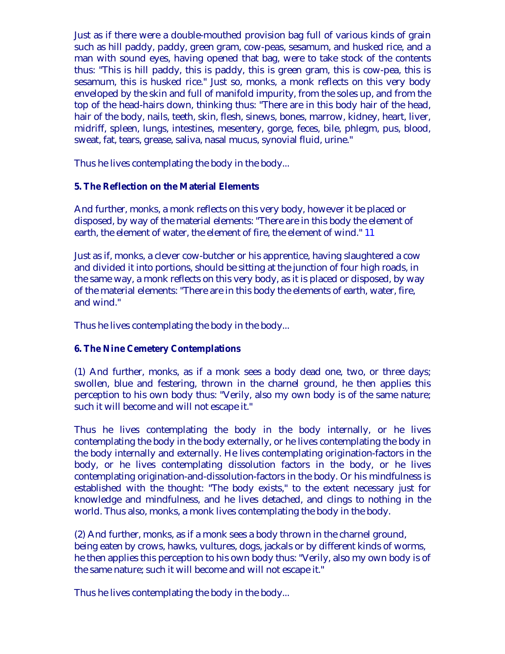<span id="page-8-0"></span>Just as if there were a double-mouthed provision bag full of various kinds of grain such as hill paddy, paddy, green gram, cow-peas, sesamum, and husked rice, and a man with sound eyes, having opened that bag, were to take stock of the contents thus: "This is hill paddy, this is paddy, this is green gram, this is cow-pea, this is sesamum, this is husked rice." Just so, monks, a monk reflects on this very body enveloped by the skin and full of manifold impurity, from the soles up, and from the top of the head-hairs down, thinking thus: "There are in this body hair of the head, hair of the body, nails, teeth, skin, flesh, sinews, bones, marrow, kidney, heart, liver, midriff, spleen, lungs, intestines, mesentery, gorge, feces, bile, phlegm, pus, blood, sweat, fat, tears, grease, saliva, nasal mucus, synovial fluid, urine."

Thus he lives contemplating the body in the body...

#### **5. The Reflection on the Material Elements**

And further, monks, a monk reflects on this very body, however it be placed or disposed, by way of the material elements: "There are in this body the element of earth, the element of water, the element of fire, the element of wind." [11](#page-16-0)

Just as if, monks, a clever cow-butcher or his apprentice, having slaughtered a cow and divided it into portions, should be sitting at the junction of four high roads, in the same way, a monk reflects on this very body, as it is placed or disposed, by way of the material elements: "There are in this body the elements of earth, water, fire, and wind."

Thus he lives contemplating the body in the body...

#### **6. The Nine Cemetery Contemplations**

(1) And further, monks, as if a monk sees a body dead one, two, or three days; swollen, blue and festering, thrown in the charnel ground, he then applies this perception to his own body thus: "Verily, also my own body is of the same nature; such it will become and will not escape it."

Thus he lives contemplating the body in the body internally, or he lives contemplating the body in the body externally, or he lives contemplating the body in the body internally and externally. He lives contemplating origination-factors in the body, or he lives contemplating dissolution factors in the body, or he lives contemplating origination-and-dissolution-factors in the body. Or his mindfulness is established with the thought: "The body exists," to the extent necessary just for knowledge and mindfulness, and he lives detached, and clings to nothing in the world. Thus also, monks, a monk lives contemplating the body in the body.

(2) And further, monks, as if a monk sees a body thrown in the charnel ground, being eaten by crows, hawks, vultures, dogs, jackals or by different kinds of worms, he then applies this perception to his own body thus: "Verily, also my own body is of the same nature; such it will become and will not escape it."

Thus he lives contemplating the body in the body...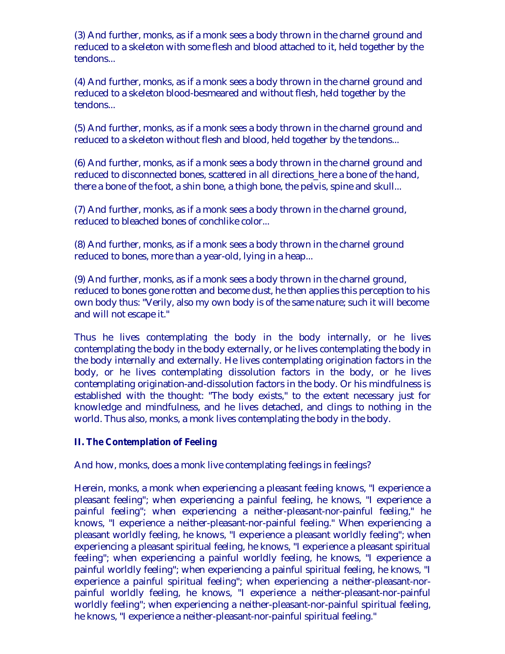(3) And further, monks, as if a monk sees a body thrown in the charnel ground and reduced to a skeleton with some flesh and blood attached to it, held together by the tendons...

(4) And further, monks, as if a monk sees a body thrown in the charnel ground and reduced to a skeleton blood-besmeared and without flesh, held together by the tendons...

(5) And further, monks, as if a monk sees a body thrown in the charnel ground and reduced to a skeleton without flesh and blood, held together by the tendons...

(6) And further, monks, as if a monk sees a body thrown in the charnel ground and reduced to disconnected bones, scattered in all directions\_here a bone of the hand, there a bone of the foot, a shin bone, a thigh bone, the pelvis, spine and skull...

(7) And further, monks, as if a monk sees a body thrown in the charnel ground, reduced to bleached bones of conchlike color...

(8) And further, monks, as if a monk sees a body thrown in the charnel ground reduced to bones, more than a year-old, lying in a heap...

(9) And further, monks, as if a monk sees a body thrown in the charnel ground, reduced to bones gone rotten and become dust, he then applies this perception to his own body thus: "Verily, also my own body is of the same nature; such it will become and will not escape it."

Thus he lives contemplating the body in the body internally, or he lives contemplating the body in the body externally, or he lives contemplating the body in the body internally and externally. He lives contemplating origination factors in the body, or he lives contemplating dissolution factors in the body, or he lives contemplating origination-and-dissolution factors in the body. Or his mindfulness is established with the thought: "The body exists," to the extent necessary just for knowledge and mindfulness, and he lives detached, and clings to nothing in the world. Thus also, monks, a monk lives contemplating the body in the body.

#### **II. The Contemplation of Feeling**

And how, monks, does a monk live contemplating feelings in feelings?

Herein, monks, a monk when experiencing a pleasant feeling knows, "I experience a pleasant feeling"; when experiencing a painful feeling, he knows, "I experience a painful feeling"; when experiencing a neither-pleasant-nor-painful feeling," he knows, "I experience a neither-pleasant-nor-painful feeling." When experiencing a pleasant worldly feeling, he knows, "I experience a pleasant worldly feeling"; when experiencing a pleasant spiritual feeling, he knows, "I experience a pleasant spiritual feeling"; when experiencing a painful worldly feeling, he knows, "I experience a painful worldly feeling"; when experiencing a painful spiritual feeling, he knows, "I experience a painful spiritual feeling"; when experiencing a neither-pleasant-norpainful worldly feeling, he knows, "I experience a neither-pleasant-nor-painful worldly feeling"; when experiencing a neither-pleasant-nor-painful spiritual feeling, he knows, "I experience a neither-pleasant-nor-painful spiritual feeling."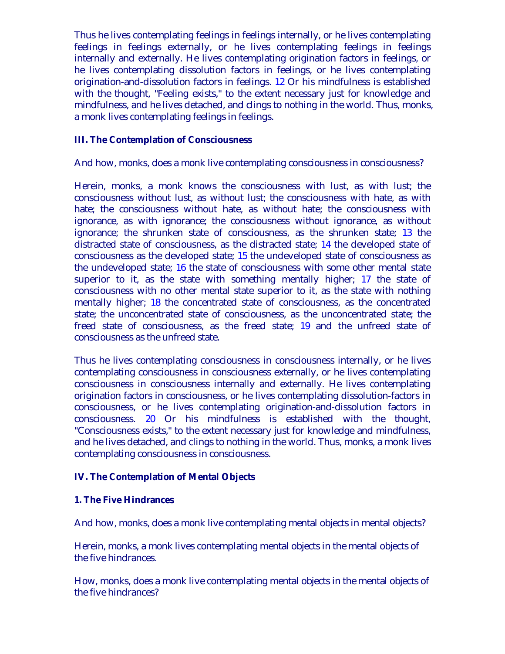<span id="page-10-0"></span>Thus he lives contemplating feelings in feelings internally, or he lives contemplating feelings in feelings externally, or he lives contemplating feelings in feelings internally and externally. He lives contemplating origination factors in feelings, or he lives contemplating dissolution factors in feelings, or he lives contemplating origination-and-dissolution factors in feelings. [12](#page-16-0) Or his mindfulness is established with the thought, "Feeling exists," to the extent necessary just for knowledge and mindfulness, and he lives detached, and clings to nothing in the world. Thus, monks, a monk lives contemplating feelings in feelings.

#### **III. The Contemplation of Consciousness**

And how, monks, does a monk live contemplating consciousness in consciousness?

Herein, monks, a monk knows the consciousness with lust, as with lust; the consciousness without lust, as without lust; the consciousness with hate, as with hate; the consciousness without hate, as without hate; the consciousness with ignorance, as with ignorance; the consciousness without ignorance, as without ignorance; the shrunken state of consciousness, as the shrunken state; [13](#page-16-0) the distracted state of consciousness, as the distracted state; [14](#page-16-0) the developed state of consciousness as the developed state; [15](#page-16-0) the undeveloped state of consciousness as the undeveloped state; [16](#page-16-0) the state of consciousness with some other mental state superior to it, as the state with something mentally higher; [17](#page-16-0) the state of consciousness with no other mental state superior to it, as the state with nothing mentally higher; [18](#page-16-0) the concentrated state of consciousness, as the concentrated state; the unconcentrated state of consciousness, as the unconcentrated state; the freed state of consciousness, as the freed state; [19](#page-16-0) and the unfreed state of consciousness as the unfreed state.

Thus he lives contemplating consciousness in consciousness internally, or he lives contemplating consciousness in consciousness externally, or he lives contemplating consciousness in consciousness internally and externally. He lives contemplating origination factors in consciousness, or he lives contemplating dissolution-factors in consciousness, or he lives contemplating origination-and-dissolution factors in consciousness. [20](#page-16-0) Or his mindfulness is established with the thought, "Consciousness exists," to the extent necessary just for knowledge and mindfulness, and he lives detached, and clings to nothing in the world. Thus, monks, a monk lives contemplating consciousness in consciousness.

#### **IV. The Contemplation of Mental Objects**

#### **1. The Five Hindrances**

And how, monks, does a monk live contemplating mental objects in mental objects?

Herein, monks, a monk lives contemplating mental objects in the mental objects of the five hindrances.

How, monks, does a monk live contemplating mental objects in the mental objects of the five hindrances?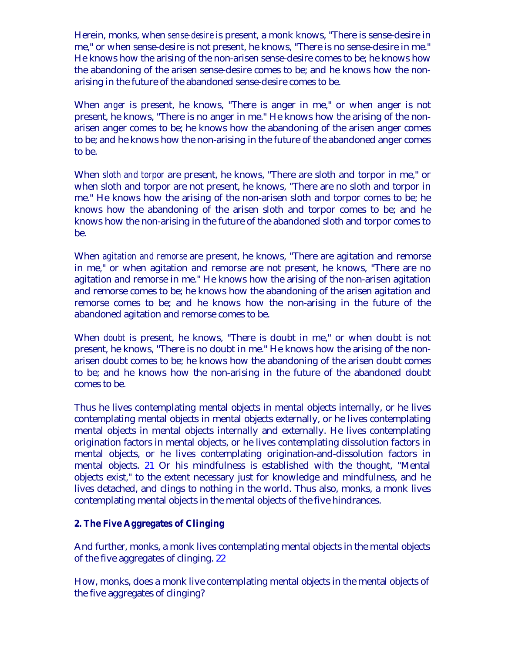<span id="page-11-0"></span>Herein, monks, when *sense-desire* is present, a monk knows, "There is sense-desire in me," or when sense-desire is not present, he knows, "There is no sense-desire in me." He knows how the arising of the non-arisen sense-desire comes to be; he knows how the abandoning of the arisen sense-desire comes to be; and he knows how the nonarising in the future of the abandoned sense-desire comes to be.

When *anger* is present, he knows, "There is anger in me," or when anger is not present, he knows, "There is no anger in me." He knows how the arising of the nonarisen anger comes to be; he knows how the abandoning of the arisen anger comes to be; and he knows how the non-arising in the future of the abandoned anger comes to be.

When *sloth and torpor* are present, he knows, "There are sloth and torpor in me," or when sloth and torpor are not present, he knows, "There are no sloth and torpor in me." He knows how the arising of the non-arisen sloth and torpor comes to be; he knows how the abandoning of the arisen sloth and torpor comes to be; and he knows how the non-arising in the future of the abandoned sloth and torpor comes to be.

When *agitation and remorse* are present, he knows, "There are agitation and remorse in me," or when agitation and remorse are not present, he knows, "There are no agitation and remorse in me." He knows how the arising of the non-arisen agitation and remorse comes to be; he knows how the abandoning of the arisen agitation and remorse comes to be; and he knows how the non-arising in the future of the abandoned agitation and remorse comes to be.

When *doubt* is present, he knows, "There is doubt in me," or when doubt is not present, he knows, "There is no doubt in me." He knows how the arising of the nonarisen doubt comes to be; he knows how the abandoning of the arisen doubt comes to be; and he knows how the non-arising in the future of the abandoned doubt comes to be.

Thus he lives contemplating mental objects in mental objects internally, or he lives contemplating mental objects in mental objects externally, or he lives contemplating mental objects in mental objects internally and externally. He lives contemplating origination factors in mental objects, or he lives contemplating dissolution factors in mental objects, or he lives contemplating origination-and-dissolution factors in mental objects. [21](#page-16-0) Or his mindfulness is established with the thought, "Mental objects exist," to the extent necessary just for knowledge and mindfulness, and he lives detached, and clings to nothing in the world. Thus also, monks, a monk lives contemplating mental objects in the mental objects of the five hindrances.

#### **2. The Five Aggregates of Clinging**

And further, monks, a monk lives contemplating mental objects in the mental objects of the five aggregates of clinging. [22](#page-17-0)

How, monks, does a monk live contemplating mental objects in the mental objects of the five aggregates of clinging?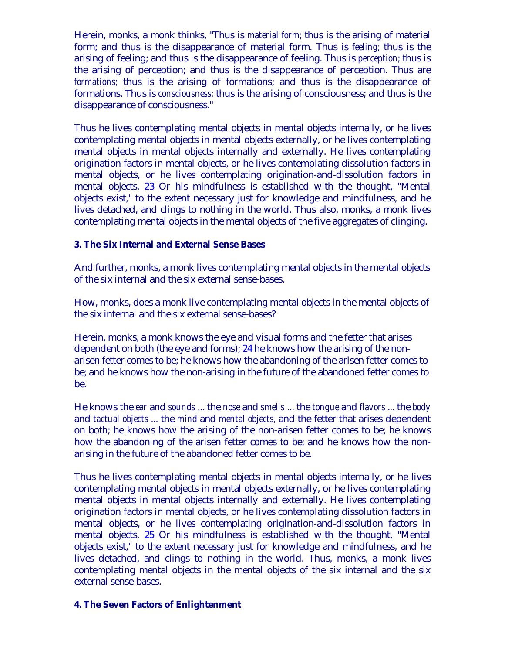<span id="page-12-0"></span>Herein, monks, a monk thinks, "Thus is *material form;* thus is the arising of material form; and thus is the disappearance of material form. Thus is *feeling;* thus is the arising of feeling; and thus is the disappearance of feeling. Thus is *perception;* thus is the arising of perception; and thus is the disappearance of perception. Thus are *formations;* thus is the arising of formations; and thus is the disappearance of formations. Thus is *consciousness;* thus is the arising of consciousness; and thus is the disappearance of consciousness."

Thus he lives contemplating mental objects in mental objects internally, or he lives contemplating mental objects in mental objects externally, or he lives contemplating mental objects in mental objects internally and externally. He lives contemplating origination factors in mental objects, or he lives contemplating dissolution factors in mental objects, or he lives contemplating origination-and-dissolution factors in mental objects. [23](#page-17-0) Or his mindfulness is established with the thought, "Mental objects exist," to the extent necessary just for knowledge and mindfulness, and he lives detached, and clings to nothing in the world. Thus also, monks, a monk lives contemplating mental objects in the mental objects of the five aggregates of clinging.

#### **3. The Six Internal and External Sense Bases**

And further, monks, a monk lives contemplating mental objects in the mental objects of the six internal and the six external sense-bases.

How, monks, does a monk live contemplating mental objects in the mental objects of the six internal and the six external sense-bases?

Herein, monks, a monk knows the eye and visual forms and the fetter that arises dependent on both (the eye and forms); [24](#page-17-0) he knows how the arising of the nonarisen fetter comes to be; he knows how the abandoning of the arisen fetter comes to be; and he knows how the non-arising in the future of the abandoned fetter comes to be.

He knows the *ear* and *sounds* ... the *nose* and *smells* ... the *tongue* and *flavors* ... the *body*  and *tactual objects* ... the *mind* and *mental objects,* and the fetter that arises dependent on both; he knows how the arising of the non-arisen fetter comes to be; he knows how the abandoning of the arisen fetter comes to be; and he knows how the nonarising in the future of the abandoned fetter comes to be.

Thus he lives contemplating mental objects in mental objects internally, or he lives contemplating mental objects in mental objects externally, or he lives contemplating mental objects in mental objects internally and externally. He lives contemplating origination factors in mental objects, or he lives contemplating dissolution factors in mental objects, or he lives contemplating origination-and-dissolution factors in mental objects. [25](#page-17-0) Or his mindfulness is established with the thought, "Mental objects exist," to the extent necessary just for knowledge and mindfulness, and he lives detached, and clings to nothing in the world. Thus, monks, a monk lives contemplating mental objects in the mental objects of the six internal and the six external sense-bases.

#### **4. The Seven Factors of Enlightenment**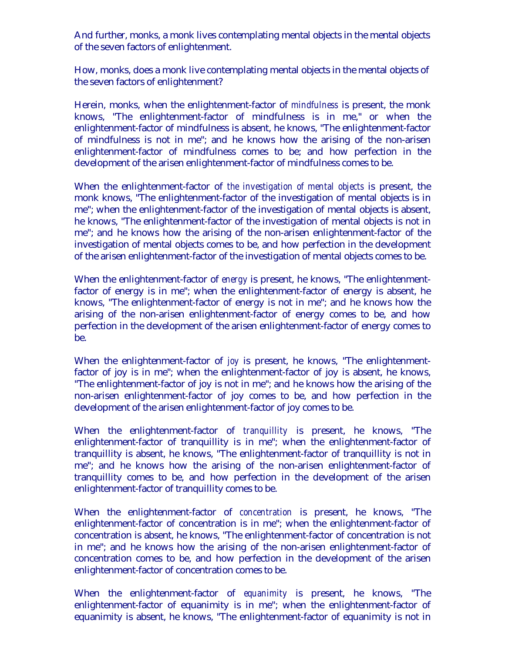And further, monks, a monk lives contemplating mental objects in the mental objects of the seven factors of enlightenment.

How, monks, does a monk live contemplating mental objects in the mental objects of the seven factors of enlightenment?

Herein, monks, when the enlightenment-factor of *mindfulness* is present, the monk knows, "The enlightenment-factor of mindfulness is in me," or when the enlightenment-factor of mindfulness is absent, he knows, "The enlightenment-factor of mindfulness is not in me"; and he knows how the arising of the non-arisen enlightenment-factor of mindfulness comes to be; and how perfection in the development of the arisen enlightenment-factor of mindfulness comes to be.

When the enlightenment-factor of *the investigation of mental objects* is present, the monk knows, "The enlightenment-factor of the investigation of mental objects is in me"; when the enlightenment-factor of the investigation of mental objects is absent, he knows, "The enlightenment-factor of the investigation of mental objects is not in me"; and he knows how the arising of the non-arisen enlightenment-factor of the investigation of mental objects comes to be, and how perfection in the development of the arisen enlightenment-factor of the investigation of mental objects comes to be.

When the enlightenment-factor of *energy* is present, he knows, "The enlightenmentfactor of energy is in me"; when the enlightenment-factor of energy is absent, he knows, "The enlightenment-factor of energy is not in me"; and he knows how the arising of the non-arisen enlightenment-factor of energy comes to be, and how perfection in the development of the arisen enlightenment-factor of energy comes to be.

When the enlightenment-factor of *joy* is present, he knows, "The enlightenmentfactor of joy is in me"; when the enlightenment-factor of joy is absent, he knows, "The enlightenment-factor of joy is not in me"; and he knows how the arising of the non-arisen enlightenment-factor of joy comes to be, and how perfection in the development of the arisen enlightenment-factor of joy comes to be.

When the enlightenment-factor of *tranquillity* is present, he knows, "The enlightenment-factor of tranquillity is in me"; when the enlightenment-factor of tranquillity is absent, he knows, "The enlightenment-factor of tranquillity is not in me"; and he knows how the arising of the non-arisen enlightenment-factor of tranquillity comes to be, and how perfection in the development of the arisen enlightenment-factor of tranquillity comes to be.

When the enlightenment-factor of *concentration* is present, he knows, "The enlightenment-factor of concentration is in me"; when the enlightenment-factor of concentration is absent, he knows, "The enlightenment-factor of concentration is not in me"; and he knows how the arising of the non-arisen enlightenment-factor of concentration comes to be, and how perfection in the development of the arisen enlightenment-factor of concentration comes to be.

When the enlightenment-factor of *equanimity* is present, he knows, "The enlightenment-factor of equanimity is in me"; when the enlightenment-factor of equanimity is absent, he knows, "The enlightenment-factor of equanimity is not in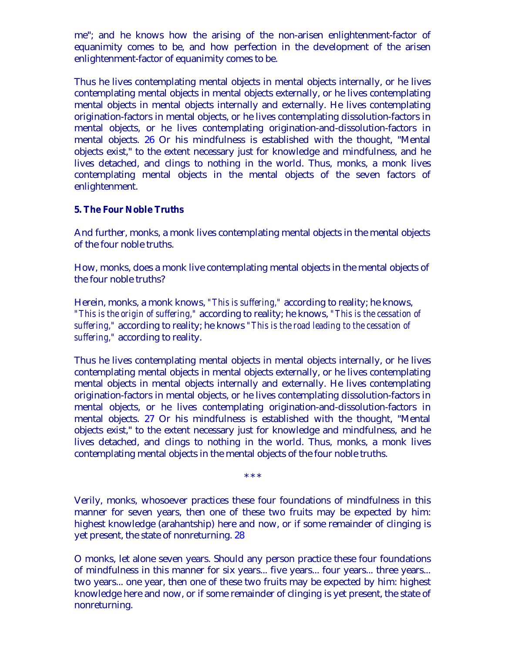<span id="page-14-0"></span>me"; and he knows how the arising of the non-arisen enlightenment-factor of equanimity comes to be, and how perfection in the development of the arisen enlightenment-factor of equanimity comes to be.

Thus he lives contemplating mental objects in mental objects internally, or he lives contemplating mental objects in mental objects externally, or he lives contemplating mental objects in mental objects internally and externally. He lives contemplating origination-factors in mental objects, or he lives contemplating dissolution-factors in mental objects, or he lives contemplating origination-and-dissolution-factors in mental objects. [26](#page-17-0) Or his mindfulness is established with the thought, "Mental objects exist," to the extent necessary just for knowledge and mindfulness, and he lives detached, and clings to nothing in the world. Thus, monks, a monk lives contemplating mental objects in the mental objects of the seven factors of enlightenment.

#### **5. The Four Noble Truths**

And further, monks, a monk lives contemplating mental objects in the mental objects of the four noble truths.

How, monks, does a monk live contemplating mental objects in the mental objects of the four noble truths?

Herein, monks, a monk knows, *"This is suffering,"* according to reality; he knows, *"This is the origin of suffering,"* according to reality; he knows, *"This is the cessation of suffering,"* according to reality; he knows *"This is the road leading to the cessation of suffering,"* according to reality.

Thus he lives contemplating mental objects in mental objects internally, or he lives contemplating mental objects in mental objects externally, or he lives contemplating mental objects in mental objects internally and externally. He lives contemplating origination-factors in mental objects, or he lives contemplating dissolution-factors in mental objects, or he lives contemplating origination-and-dissolution-factors in mental objects. [27](#page-17-0) Or his mindfulness is established with the thought, "Mental objects exist," to the extent necessary just for knowledge and mindfulness, and he lives detached, and clings to nothing in the world. Thus, monks, a monk lives contemplating mental objects in the mental objects of the four noble truths.

\* \* \*

Verily, monks, whosoever practices these four foundations of mindfulness in this manner for seven years, then one of these two fruits may be expected by him: highest knowledge (arahantship) here and now, or if some remainder of clinging is yet present, the state of nonreturning. [28](#page-17-0)

O monks, let alone seven years. Should any person practice these four foundations of mindfulness in this manner for six years... five years... four years... three years... two years... one year, then one of these two fruits may be expected by him: highest knowledge here and now, or if some remainder of clinging is yet present, the state of nonreturning.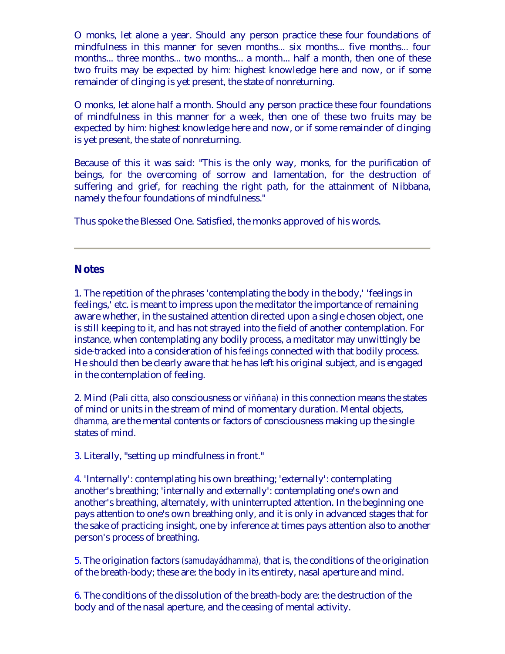<span id="page-15-0"></span>O monks, let alone a year. Should any person practice these four foundations of mindfulness in this manner for seven months... six months... five months... four months... three months... two months... a month... half a month, then one of these two fruits may be expected by him: highest knowledge here and now, or if some remainder of clinging is yet present, the state of nonreturning.

O monks, let alone half a month. Should any person practice these four foundations of mindfulness in this manner for a week, then one of these two fruits may be expected by him: highest knowledge here and now, or if some remainder of clinging is yet present, the state of nonreturning.

Because of this it was said: "This is the only way, monks, for the purification of beings, for the overcoming of sorrow and lamentation, for the destruction of suffering and grief, for reaching the right path, for the attainment of Nibbana, namely the four foundations of mindfulness."

Thus spoke the Blessed One. Satisfied, the monks approved of his words.

#### **Notes**

1. The repetition of the phrases 'contemplating the body in the body,' 'feelings in feelings,' etc. is meant to impress upon the meditator the importance of remaining aware whether, in the sustained attention directed upon a single chosen object, one is still keeping to it, and has not strayed into the field of another contemplation. For instance, when contemplating any bodily process, a meditator may unwittingly be side-tracked into a consideration of his *feelings* connected with that bodily process. He should then be clearly aware that he has left his original subject, and is engaged in the contemplation of feeling.

2. Mind (Pali *citta,* also consciousness or *viññana)* in this connection means the states of mind or units in the stream of mind of momentary duration. Mental objects, *dhamma,* are the mental contents or factors of consciousness making up the single states of mind.

[3.](#page-6-0) Literally, "setting up mindfulness in front."

[4.](#page-7-0) 'Internally': contemplating his own breathing; 'externally': contemplating another's breathing; 'internally and externally': contemplating one's own and another's breathing, alternately, with uninterrupted attention. In the beginning one pays attention to one's own breathing only, and it is only in advanced stages that for the sake of practicing insight, one by inference at times pays attention also to another person's process of breathing.

[5.](#page-7-0) The origination factors *(samudayádhamma),* that is, the conditions of the origination of the breath-body; these are: the body in its entirety, nasal aperture and mind.

[6.](#page-7-0) The conditions of the dissolution of the breath-body are: the destruction of the body and of the nasal aperture, and the ceasing of mental activity.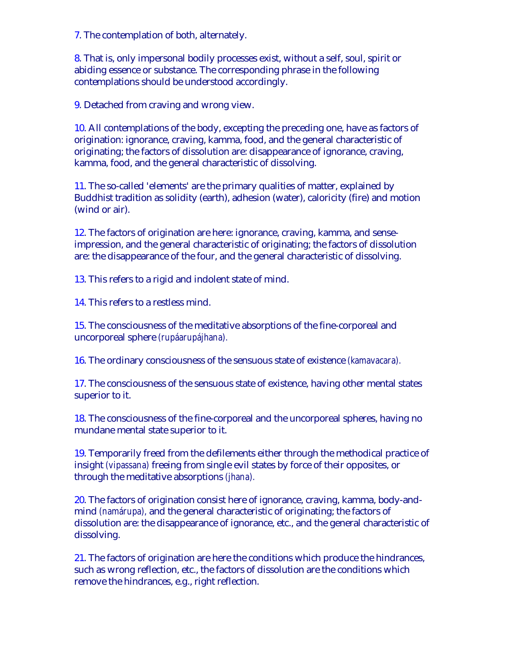<span id="page-16-0"></span>[7.](#page-7-0) The contemplation of both, alternately.

[8.](#page-7-0) That is, only impersonal bodily processes exist, without a self, soul, spirit or abiding essence or substance. The corresponding phrase in the following contemplations should be understood accordingly.

[9.](#page-7-0) Detached from craving and wrong view.

[10.](#page-7-0) All contemplations of the body, excepting the preceding one, have as factors of origination: ignorance, craving, kamma, food, and the general characteristic of originating; the factors of dissolution are: disappearance of ignorance, craving, kamma, food, and the general characteristic of dissolving.

[11.](#page-8-0) The so-called 'elements' are the primary qualities of matter, explained by Buddhist tradition as solidity (earth), adhesion (water), caloricity (fire) and motion (wind or air).

[12.](#page-10-0) The factors of origination are here: ignorance, craving, kamma, and senseimpression, and the general characteristic of originating; the factors of dissolution are: the disappearance of the four, and the general characteristic of dissolving.

[13.](#page-10-0) This refers to a rigid and indolent state of mind.

[14.](#page-10-0) This refers to a restless mind.

[15.](#page-10-0) The consciousness of the meditative absorptions of the fine-corporeal and uncorporeal sphere *(rupáarupájhana).*

[16.](#page-10-0) The ordinary consciousness of the sensuous state of existence *(kamavacara).*

[17.](#page-10-0) The consciousness of the sensuous state of existence, having other mental states superior to it.

[18.](#page-10-0) The consciousness of the fine-corporeal and the uncorporeal spheres, having no mundane mental state superior to it.

[19.](#page-10-0) Temporarily freed from the defilements either through the methodical practice of insight *(vipassana)* freeing from single evil states by force of their opposites, or through the meditative absorptions *(jhana).*

[20.](#page-10-0) The factors of origination consist here of ignorance, craving, kamma, body-andmind *(namárupa),* and the general characteristic of originating; the factors of dissolution are: the disappearance of ignorance, etc., and the general characteristic of dissolving.

[21.](#page-11-0) The factors of origination are here the conditions which produce the hindrances, such as wrong reflection, etc., the factors of dissolution are the conditions which remove the hindrances, e.g., right reflection.